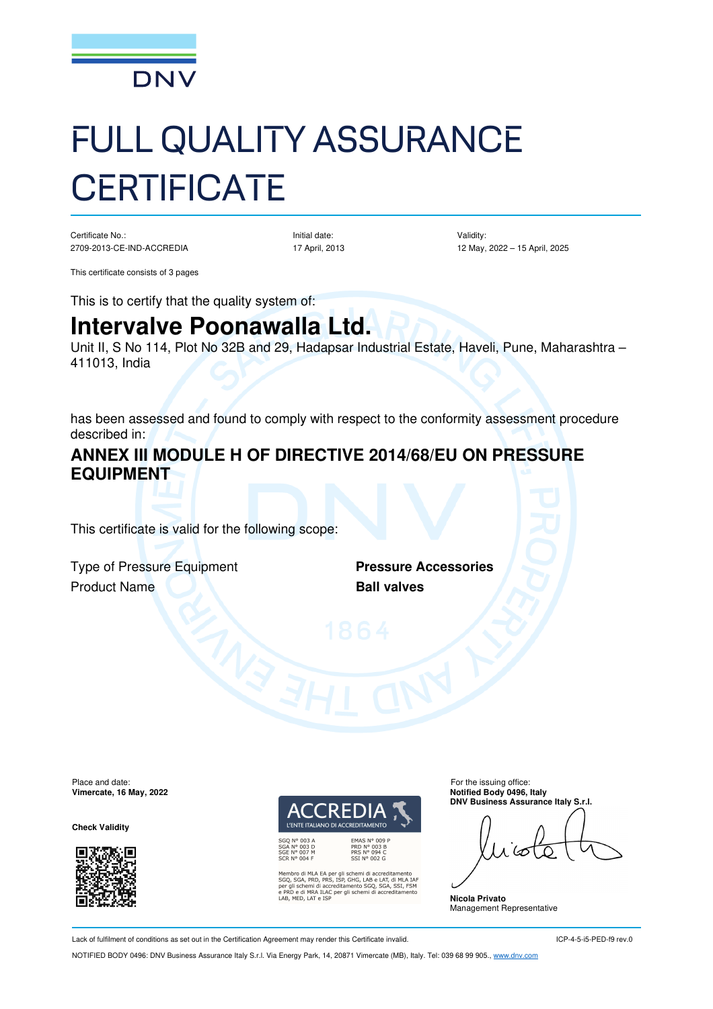

# FULL QUALITY ASSURANCE **CERTIFICATE**

Certificate No.: 2709-2013-CE-IND-ACCREDIA Initial date: 17 April, 2013 Validity: 12 May, 2022 – 15 April, 2025

This certificate consists of 3 pages

This is to certify that the quality system of:

## **Intervalve Poonawalla Ltd.**

Unit II, S No 114, Plot No 32B and 29, Hadapsar Industrial Estate, Haveli, Pune, Maharashtra – 411013, India

has been assessed and found to comply with respect to the conformity assessment procedure described in:

### **ANNEX III MODULE H OF DIRECTIVE 2014/68/EU ON PRESSURE EQUIPMENT**

This certificate is valid for the following scope:

Type of Pressure Equipment **Pressure Accessories Product Name Construction Construction Ball valves** 

Place and date:<br> **Place and date:** For the issuing office:<br> **Place and date:** For the issuing office:<br> **Place and date:** For the issuing office:

**Check Validity** 



**I'FNITE ITALIAN** 

SGA N° 003 D<br>SGE N° 007 M<br>SCR N° 004 F

EMAS N° 009 P<br>PRD N° 003 B<br>PRS N° 094 C<br>SSI N° 002 G

SCRIM TO THE SCRIPTION OF CONTRACTED SCRIPTION OF SCRIPTION SCRIPTION SCRIPTION SCRIPTION SCRIPTION PRESENT OF PURCHAPP PURCHAP PRO ENDING THE SCRIPTION CONTRACTED AND MANUFACTURE USES THE VALUE OF STRIPTION CONTRACTED AS

**Vimercate, 16 May, 2022 Notified Body 0496, Italy DNV Business Assurance Italy S.r.l.**

**Nicola Privato**  Management Representative

Lack of fulfilment of conditions as set out in the Certification Agreement may render this Certificate invalid.

NOTIFIED BODY 0496: DNV Business Assurance Italy S.r.l. Via Energy Park, 14, 20871 Vimercate (MB), Italy. Tel: 039 68 99 905., www.dnv.com

ICP-4-5-i5-PED-f9 rev.0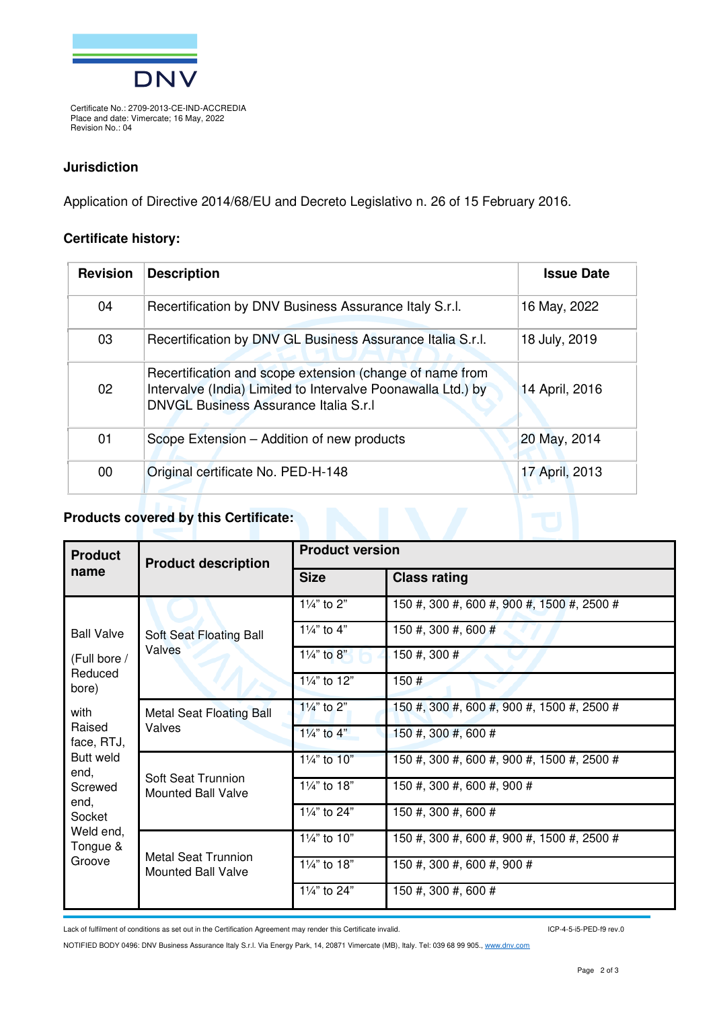

Certificate No.: 2709-2013-CE-IND-ACCREDIA Place and date: Vimercate; 16 May, 2022 Revision No.: 04

#### **Jurisdiction**

Application of Directive 2014/68/EU and Decreto Legislativo n. 26 of 15 February 2016.

#### **Certificate history:**

| <b>Revision</b> | <b>Description</b>                                                                                                                                                 | <b>Issue Date</b> |
|-----------------|--------------------------------------------------------------------------------------------------------------------------------------------------------------------|-------------------|
| 04              | Recertification by DNV Business Assurance Italy S.r.l.                                                                                                             | 16 May, 2022      |
| 03              | Recertification by DNV GL Business Assurance Italia S.r.l.                                                                                                         | 18 July, 2019     |
| 02              | Recertification and scope extension (change of name from<br>Intervalve (India) Limited to Intervalve Poonawalla Ltd.) by<br>DNVGL Business Assurance Italia S.r.I. | 14 April, 2016    |
| 01              | Scope Extension – Addition of new products                                                                                                                         | 20 May, 2014      |
| $00\,$          | Original certificate No. PED-H-148                                                                                                                                 | 17 April, 2013    |

#### **Products covered by this Certificate:**

| <b>Product</b><br>name                                                                                            | <b>Product description</b>                              | <b>Product version</b>    |                                            |  |
|-------------------------------------------------------------------------------------------------------------------|---------------------------------------------------------|---------------------------|--------------------------------------------|--|
|                                                                                                                   |                                                         | <b>Size</b>               | <b>Class rating</b>                        |  |
| <b>Ball Valve</b><br>(Full bore /<br>Reduced<br>bore)                                                             | Soft Seat Floating Ball<br>Valves                       | 11/4" to 2"               | 150 #, 300 #, 600 #, 900 #, 1500 #, 2500 # |  |
|                                                                                                                   |                                                         | $1\frac{1}{4}$ to $4$ "   | 150 #, 300 #, 600 #                        |  |
|                                                                                                                   |                                                         | $1\frac{1}{4}$ " to 8"    | 150 #, 300 #                               |  |
|                                                                                                                   |                                                         | 11/4" to 12"              | 150#                                       |  |
| with<br>Raised<br>face, RTJ,<br>Butt weld<br>end,<br>Screwed<br>end.<br>Socket<br>Weld end,<br>Tongue &<br>Groove | <b>Metal Seat Floating Ball</b><br>Valves               | 11/4" to 2"               | 150 #, 300 #, 600 #, 900 #, 1500 #, 2500 # |  |
|                                                                                                                   |                                                         | $1\frac{1}{4}$ " to $4$ " | 150 #, 300 #, 600 #                        |  |
|                                                                                                                   | <b>Soft Seat Trunnion</b><br><b>Mounted Ball Valve</b>  | 11/4" to 10"              | 150 #, 300 #, 600 #, 900 #, 1500 #, 2500 # |  |
|                                                                                                                   |                                                         | 11/4" to 18"              | 150 #, 300 #, 600 #, 900 #                 |  |
|                                                                                                                   |                                                         | 11/4" to 24"              | 150 #, 300 #, 600 #                        |  |
|                                                                                                                   | <b>Metal Seat Trunnion</b><br><b>Mounted Ball Valve</b> | $1\frac{1}{4}$ to 10"     | 150 #, 300 #, 600 #, 900 #, 1500 #, 2500 # |  |
|                                                                                                                   |                                                         | 11/4" to 18"              | 150 #, 300 #, 600 #, 900 #                 |  |
|                                                                                                                   |                                                         | 11/4" to 24"              | 150 #, 300 #, 600 #                        |  |

Lack of fulfilment of conditions as set out in the Certification Agreement may render this Certificate invalid.

ICP-4-5-i5-PED-f9 rev.0

NOTIFIED BODY 0496: DNV Business Assurance Italy S.r.l. Via Energy Park, 14, 20871 Vimercate (MB), Italy. Tel: 039 68 99 905., www.dnv.com